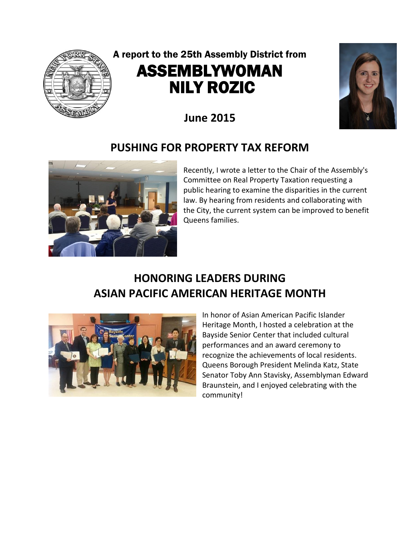

# A report to the 25th Assembly District from ASSEMBLYWOMAN NILY ROZIC



## **June 2015**

### **PUSHING FOR PROPERTY TAX REFORM**



Recently, I wrote a letter to the Chair of the Assembly's Committee on Real Property Taxation requesting a public hearing to examine the disparities in the current law. By hearing from residents and collaborating with the City, the current system can be improved to benefit Queens families.

### **HONORING LEADERS DURING ASIAN PACIFIC AMERICAN HERITAGE MONTH**



In honor of Asian American Pacific Islander Heritage Month, I hosted a celebration at the Bayside Senior Center that included cultural performances and an award ceremony to recognize the achievements of local residents. Queens Borough President Melinda Katz, State Senator Toby Ann Stavisky, Assemblyman Edward Braunstein, and I enjoyed celebrating with the community!